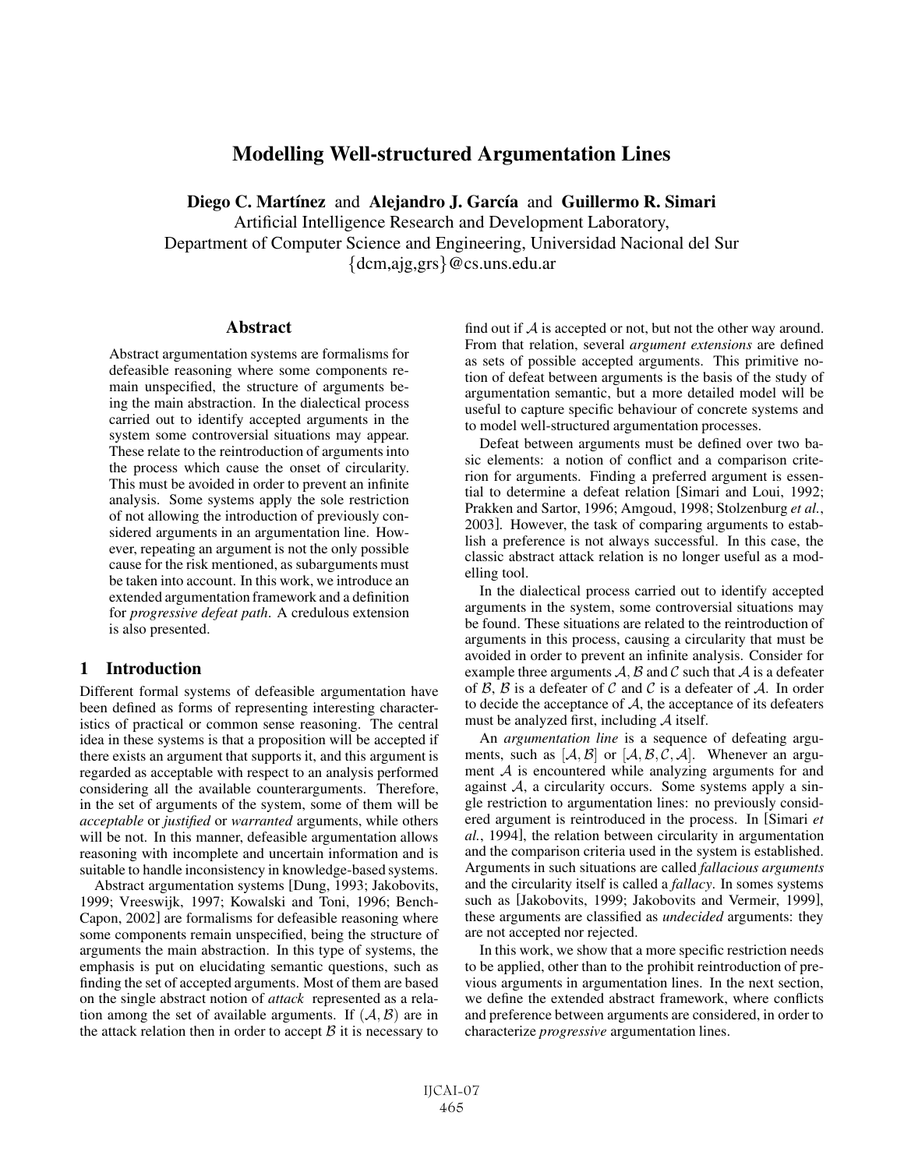# Modelling Well-structured Argumentation Lines

Diego C. Martínez and Alejandro J. García and Guillermo R. Simari

Artificial Intelligence Research and Development Laboratory, Department of Computer Science and Engineering, Universidad Nacional del Sur {dcm,ajg,grs}@cs.uns.edu.ar

#### **Abstract**

Abstract argumentation systems are formalisms for defeasible reasoning where some components remain unspecified, the structure of arguments being the main abstraction. In the dialectical process carried out to identify accepted arguments in the system some controversial situations may appear. These relate to the reintroduction of arguments into the process which cause the onset of circularity. This must be avoided in order to prevent an infinite analysis. Some systems apply the sole restriction of not allowing the introduction of previously considered arguments in an argumentation line. However, repeating an argument is not the only possible cause for the risk mentioned, as subarguments must be taken into account. In this work, we introduce an extended argumentation framework and a definition for *progressive defeat path*. A credulous extension is also presented.

#### 1 Introduction

Different formal systems of defeasible argumentation have been defined as forms of representing interesting characteristics of practical or common sense reasoning. The central idea in these systems is that a proposition will be accepted if there exists an argument that supports it, and this argument is regarded as acceptable with respect to an analysis performed considering all the available counterarguments. Therefore, in the set of arguments of the system, some of them will be *acceptable* or *justified* or *warranted* arguments, while others will be not. In this manner, defeasible argumentation allows reasoning with incomplete and uncertain information and is suitable to handle inconsistency in knowledge-based systems.

Abstract argumentation systems [Dung, 1993; Jakobovits, 1999; Vreeswijk, 1997; Kowalski and Toni, 1996; Bench-Capon, 2002] are formalisms for defeasible reasoning where some components remain unspecified, being the structure of arguments the main abstraction. In this type of systems, the emphasis is put on elucidating semantic questions, such as finding the set of accepted arguments. Most of them are based on the single abstract notion of *attack* represented as a relation among the set of available arguments. If  $(A, B)$  are in the attack relation then in order to accept  $\beta$  it is necessary to find out if  $\mathcal A$  is accepted or not, but not the other way around. From that relation, several *argument extensions* are defined as sets of possible accepted arguments. This primitive notion of defeat between arguments is the basis of the study of argumentation semantic, but a more detailed model will be useful to capture specific behaviour of concrete systems and to model well-structured argumentation processes.

Defeat between arguments must be defined over two basic elements: a notion of conflict and a comparison criterion for arguments. Finding a preferred argument is essential to determine a defeat relation [Simari and Loui, 1992; Prakken and Sartor, 1996; Amgoud, 1998; Stolzenburg *et al.*, 2003]. However, the task of comparing arguments to establish a preference is not always successful. In this case, the classic abstract attack relation is no longer useful as a modelling tool.

In the dialectical process carried out to identify accepted arguments in the system, some controversial situations may be found. These situations are related to the reintroduction of arguments in this process, causing a circularity that must be avoided in order to prevent an infinite analysis. Consider for example three arguments  $A$ ,  $B$  and  $C$  such that  $A$  is a defeater of  $\beta$ ,  $\beta$  is a defeater of  $\beta$  and  $\beta$  is a defeater of  $\mathcal{A}$ . In order to decide the acceptance of  $A$ , the acceptance of its defeaters must be analyzed first, including  $A$  itself.

An *argumentation line* is a sequence of defeating arguments, such as  $[A, \mathcal{B}]$  or  $[A, \mathcal{B}, \mathcal{C}, \mathcal{A}]$ . Whenever an argument  $A$  is encountered while analyzing arguments for and against  $A$ , a circularity occurs. Some systems apply a single restriction to argumentation lines: no previously considered argument is reintroduced in the process. In [Simari *et al.*, 1994], the relation between circularity in argumentation and the comparison criteria used in the system is established. Arguments in such situations are called *fallacious arguments* and the circularity itself is called a *fallacy*. In somes systems such as [Jakobovits, 1999; Jakobovits and Vermeir, 1999], these arguments are classified as *undecided* arguments: they are not accepted nor rejected.

In this work, we show that a more specific restriction needs to be applied, other than to the prohibit reintroduction of previous arguments in argumentation lines. In the next section, we define the extended abstract framework, where conflicts and preference between arguments are considered, in order to characterize *progressive* argumentation lines.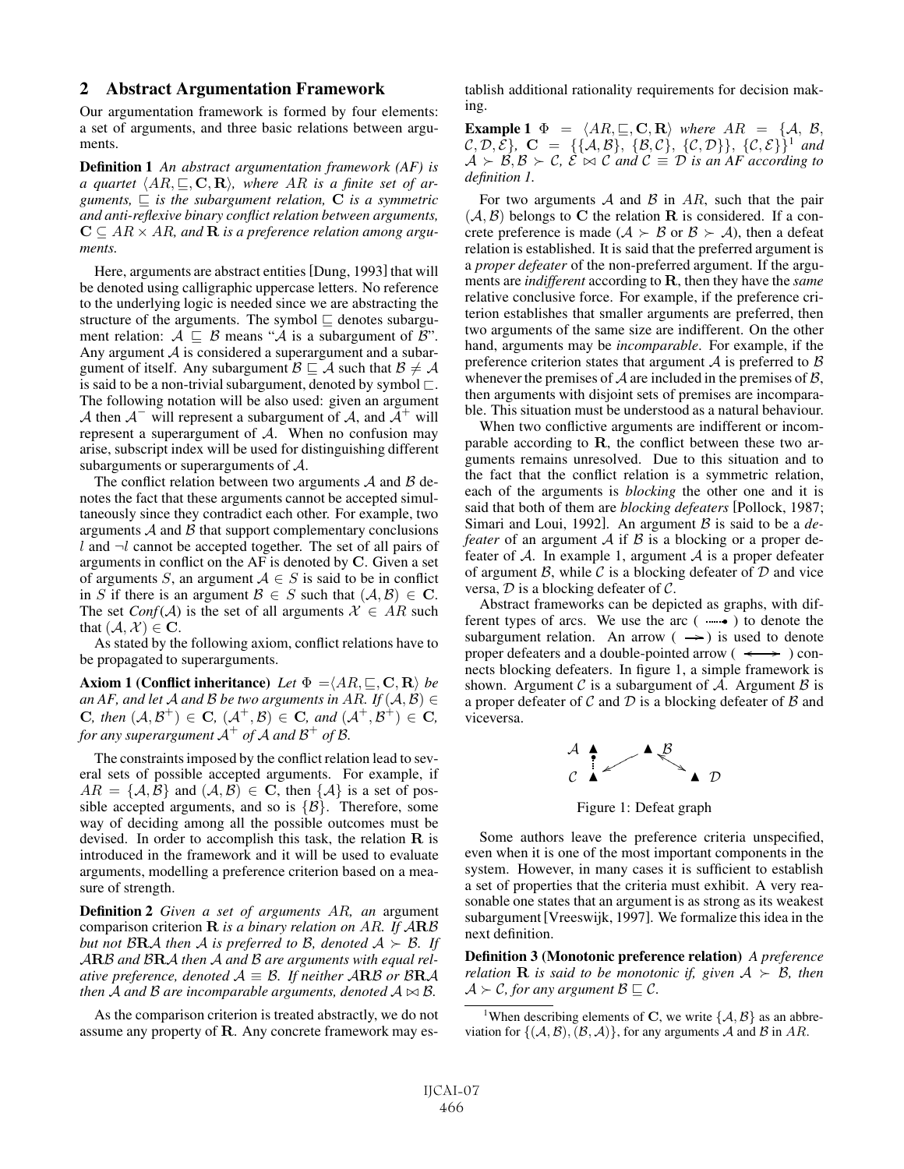#### 2 Abstract Argumentation Framework

Our argumentation framework is formed by four elements: a set of arguments, and three basic relations between arguments.

Definition 1 *An abstract argumentation framework (AF) is a* quartet  $\langle AR, \sqsubseteq, \mathbf{C}, \mathbf{R} \rangle$ , where AR is a finite set of ar*guments,*  $\subseteq$  *is the subargument relation,* **C** *is a symmetric and anti-reflexive binary conflict relation between arguments,*  $\mathbf{C} \subseteq AR \times AR$ , and **R** *is a preference relation among arguments.*

Here, arguments are abstract entities [Dung, 1993] that will be denoted using calligraphic uppercase letters. No reference to the underlying logic is needed since we are abstracting the structure of the arguments. The symbol  $\sqsubseteq$  denotes subargument relation:  $A \subseteq B$  means "A is a subargument of B". Any argument  $A$  is considered a superargument and a subargument of itself. Any subargument  $\mathcal{B} \sqsubseteq \mathcal{A}$  such that  $\mathcal{B} \neq \mathcal{A}$ is said to be a non-trivial subargument, denoted by symbol  $\Box$ . The following notation will be also used: given an argument A then  $A^-$  will represent a subargument of A, and  $A^+$  will represent a superargument of  $A$ . When no confusion may arise, subscript index will be used for distinguishing different subarguments or superarguments of A.

The conflict relation between two arguments  $A$  and  $B$  denotes the fact that these arguments cannot be accepted simultaneously since they contradict each other. For example, two arguments  $A$  and  $B$  that support complementary conclusions l and  $\neg$ l cannot be accepted together. The set of all pairs of arguments in conflict on the AF is denoted by **C**. Given a set of arguments S, an argument  $A \in S$  is said to be in conflict in S if there is an argument  $\mathcal{B} \in S$  such that  $(\mathcal{A}, \mathcal{B}) \in \mathbb{C}$ . The set *Conf*( $\mathcal{A}$ ) is the set of all arguments  $\mathcal{X} \in AR$  such that  $(A, \mathcal{X}) \in \mathbf{C}$ .

As stated by the following axiom, conflict relations have to be propagated to superarguments.

 $\bf{Axiom 1}$  (Conflict inheritance) Let  $\Phi = \langle AR, \sqsubseteq, \bf{C}, \bf{R} \rangle$  be *an AF, and let* A *and* B *be two arguments in AR. If*  $(A, B) \in$ **C***, then*  $(A, B^+)$  ∈ **C***,*  $(A^+, B)$  ∈ **C***, and*  $(A^+, B^+)$  ∈ **C***, for any superargument*  $A^+$  *of*  $A$  *and*  $B^+$  *of*  $B$ *.* 

The constraints imposed by the conflict relation lead to several sets of possible accepted arguments. For example, if  $AR = \{A, B\}$  and  $(A, B) \in \mathbb{C}$ , then  $\{A\}$  is a set of possible accepted arguments, and so is  $\{B\}$ . Therefore, some way of deciding among all the possible outcomes must be devised. In order to accomplish this task, the relation **R** is introduced in the framework and it will be used to evaluate arguments, modelling a preference criterion based on a measure of strength.

Definition 2 *Given a set of arguments* AR*, an* argument comparison criterion **R** *is a binary relation on* AR*. If* A**R**B *but not*  $\mathcal{B}RA$  *then* A *is preferred to* B, *denoted*  $A \succ B$ *. If* A**R**B *and* B**R**A *then* A *and* B *are arguments with equal relative preference, denoted*  $A \equiv \mathcal{B}$ *. If neither*  $A \cdot B \cdot \mathcal{B} \cdot \mathcal{B} \cdot \mathcal{A}$ then  $\overline{\mathcal{A}}$  and  $\mathcal{B}$  are incomparable arguments, denoted  $\mathcal{A} \bowtie \mathcal{B}$ .

As the comparison criterion is treated abstractly, we do not assume any property of **R**. Any concrete framework may establish additional rationality requirements for decision making.

Example 1 Φ = -AR, , **C**, **R** *where* AR = {A, B,  $(C, D, \bar{E}$ ,  $C = \{\{A, B\}, \{B, C\}, \{C, D\}\}, \{C, E\}$ <sup>1</sup> and  $A \succ \mathcal{B}, \mathcal{B} \succ \mathcal{C}, \ \mathcal{E} \bowtie \mathcal{C}$  and  $\mathcal{C} \equiv \mathcal{D}$  is an AF according to *definition 1.*

For two arguments  $A$  and  $B$  in  $AR$ , such that the pair  $(A, B)$  belongs to C the relation **R** is considered. If a concrete preference is made ( $A \succ B$  or  $B \succ A$ ), then a defeat relation is established. It is said that the preferred argument is a *proper defeater* of the non-preferred argument. If the arguments are *indifferent* according to **R**, then they have the *same* relative conclusive force. For example, if the preference criterion establishes that smaller arguments are preferred, then two arguments of the same size are indifferent. On the other hand, arguments may be *incomparable*. For example, if the preference criterion states that argument  $A$  is preferred to  $B$ whenever the premises of  $A$  are included in the premises of  $B$ , then arguments with disjoint sets of premises are incomparable. This situation must be understood as a natural behaviour.

When two conflictive arguments are indifferent or incomparable according to **R**, the conflict between these two arguments remains unresolved. Due to this situation and to the fact that the conflict relation is a symmetric relation, each of the arguments is *blocking* the other one and it is said that both of them are *blocking defeaters* [Pollock, 1987; Simari and Loui, 1992]. An argument B is said to be a *defeater* of an argument  $\mathcal A$  if  $\mathcal B$  is a blocking or a proper defeater of  $\mathcal A$ . In example 1, argument  $\mathcal A$  is a proper defeater of argument  $\beta$ , while  $\beta$  is a blocking defeater of  $\mathcal D$  and vice versa,  $D$  is a blocking defeater of  $C$ .

Abstract frameworks can be depicted as graphs, with different types of arcs. We use the arc  $(\cdots)$  to denote the subargument relation. An arrow  $($   $\rightarrow)$  is used to denote proper defeaters and a double-pointed arrow ( $\longleftrightarrow$ ) connects blocking defeaters. In figure 1, a simple framework is shown. Argument C is a subargument of A. Argument B is a proper defeater of  $C$  and  $D$  is a blocking defeater of  $B$  and viceversa.



Figure 1: Defeat graph

Some authors leave the preference criteria unspecified, even when it is one of the most important components in the system. However, in many cases it is sufficient to establish a set of properties that the criteria must exhibit. A very reasonable one states that an argument is as strong as its weakest subargument[Vreeswijk, 1997]. We formalize this idea in the next definition.

Definition 3 (Monotonic preference relation) *A preference relation* **R** *is said to be monotonic if, given*  $A \succ B$ *, then*  $A \succ C$ *, for any argument*  $B \sqsubseteq C$ *.* 

<sup>1</sup>When describing elements of **C**, we write  $\{A, B\}$  as an abbreviation for  $\{(\mathcal{A}, \mathcal{B}), (\mathcal{B}, \mathcal{A})\}$ , for any arguments A and B in AR.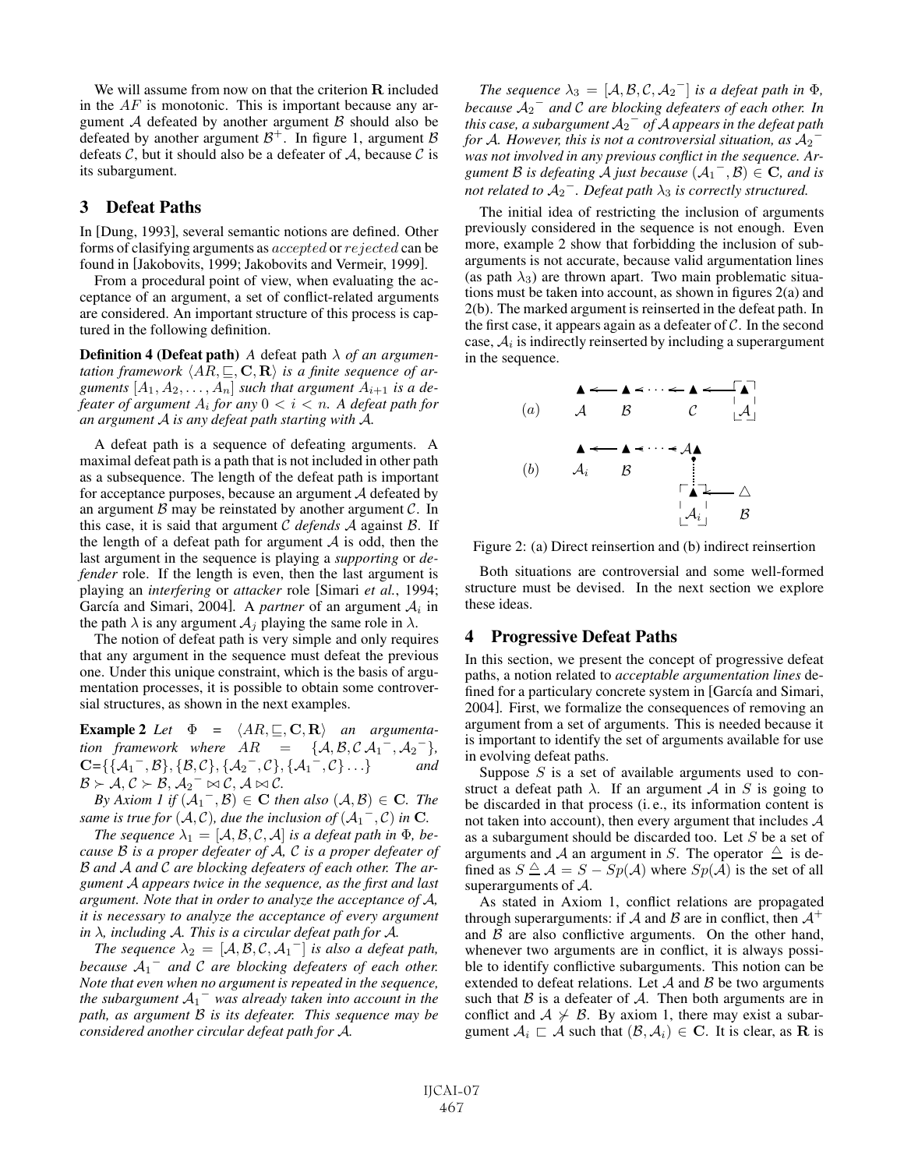We will assume from now on that the criterion **R** included in the  $AF$  is monotonic. This is important because any argument  $A$  defeated by another argument  $B$  should also be defeated by another argument  $\mathcal{B}^+$ . In figure 1, argument  $\mathcal B$ defeats  $C$ , but it should also be a defeater of  $A$ , because  $C$  is its subargument.

### 3 Defeat Paths

In [Dung, 1993], several semantic notions are defined. Other forms of clasifying arguments as accepted or rejected can be found in [Jakobovits, 1999; Jakobovits and Vermeir, 1999].

From a procedural point of view, when evaluating the acceptance of an argument, a set of conflict-related arguments are considered. An important structure of this process is captured in the following definition.

Definition 4 (Defeat path) *A* defeat path λ *of an argumen*tation framework  $\langle AR, \sqsubseteq, \mathbf{C}, \mathbf{R} \rangle$  is a finite sequence of arguments  $[A_1, A_2, \ldots, A_n]$  *such that argument*  $A_{i+1}$  *is a defeater of argument*  $A_i$  *for any*  $0 < i < n$ *. A defeat path for an argument* A *is any defeat path starting with* A*.*

A defeat path is a sequence of defeating arguments. A maximal defeat path is a path that is not included in other path as a subsequence. The length of the defeat path is important for acceptance purposes, because an argument  $A$  defeated by an argument  $\beta$  may be reinstated by another argument  $\beta$ . In this case, it is said that argument C *defends* A against B. If the length of a defeat path for argument  $A$  is odd, then the last argument in the sequence is playing a *supporting* or *defender* role. If the length is even, then the last argument is playing an *interfering* or *attacker* role [Simari *et al.*, 1994; García and Simari, 2004]. A *partner* of an argument  $A_i$  in the path  $\lambda$  is any argument  $A_j$  playing the same role in  $\lambda$ .

The notion of defeat path is very simple and only requires that any argument in the sequence must defeat the previous one. Under this unique constraint, which is the basis of argumentation processes, it is possible to obtain some controversial structures, as shown in the next examples.

**Example 2** Let  $\Phi = \langle AR, \sqsubseteq, \mathbf{C}, \mathbf{R} \rangle$  an argumenta*tion framework where*  $AR = \{A, B, C, A_1^-, A_2^-\}$ *,*  $\mathbf{C} = \{ \{A_1^-, B\}, \{B, C\}, \{A_2^-, C\}, \{A_1^-, C\} \dots \}$  *and*  $B \succ A, C \succ B, A_2^- \bowtie C, A \bowtie C.$ 

*By Axiom 1 if*  $(A_1^-, B) \in \mathbf{C}$  *then also*  $(A, B) \in \mathbf{C}$ *. The same is true for*  $(A, C)$ *, due the inclusion of*  $(A_1^-, C)$  *in* **C***.* 

*The sequence*  $\lambda_1 = [\mathcal{A}, \mathcal{B}, \mathcal{C}, \mathcal{A}]$  *is a defeat path in*  $\Phi$ *, because* B *is a proper defeater of* A*,* C *is a proper defeater of* B *and* A *and* C *are blocking defeaters of each other. The argument* A *appears twice in the sequence, as the first and last argument. Note that in order to analyze the acceptance of* A*, it is necessary to analyze the acceptance of every argument in* λ*, including* A*. This is a circular defeat path for* A*.*

*The sequence*  $\lambda_2 = [A, B, C, A_1^-]$  *is also a defeat path, because* A<sup>1</sup> <sup>−</sup> *and* C *are blocking defeaters of each other. Note that even when no argument is repeated in the sequence, the subargument* A<sup>1</sup> <sup>−</sup> *was already taken into account in the path, as argument* B *is its defeater. This sequence may be considered another circular defeat path for* A*.*

*The sequence*  $\lambda_3 = [\mathcal{A}, \mathcal{B}, \mathcal{C}, \mathcal{A}_2]$  *is a defeat path in*  $\Phi$ *, because* A<sup>2</sup> <sup>−</sup> *and* C *are blocking defeaters of each other. In*  $t$  this case, a subargument  $A_2$ <sup>−</sup> of A appears in the defeat path *for* A. However, this is not a controversial situation, as  $A_2$ *was not involved in any previous conflict in the sequence. Argument* B *is defeating* A *just because*  $(A_1^-, B) \in \mathbb{C}$ *, and is*  $\frac{a}{b}$  *not related to*  $\AA_2$ <sup>-</sup>. Defeat path  $\lambda_3$  is correctly structured.

The initial idea of restricting the inclusion of arguments previously considered in the sequence is not enough. Even more, example 2 show that forbidding the inclusion of subarguments is not accurate, because valid argumentation lines (as path  $\lambda_3$ ) are thrown apart. Two main problematic situations must be taken into account, as shown in figures 2(a) and 2(b). The marked argument is reinserted in the defeat path. In the first case, it appears again as a defeater of  $C$ . In the second case,  $A_i$  is indirectly reinserted by including a superargument in the sequence.

(a) 
$$
A \rightarrow A \rightarrow A \rightarrow A \rightarrow A
$$
  
\n(b)  $A_i \rightarrow B \rightarrow A \rightarrow A \rightarrow A \rightarrow A$   
\n $A \rightarrow A \rightarrow A \rightarrow A \rightarrow A \rightarrow A \rightarrow A$   
\n $A \rightarrow A \rightarrow A \rightarrow A \rightarrow A \rightarrow B$ 

Figure 2: (a) Direct reinsertion and (b) indirect reinsertion

Both situations are controversial and some well-formed structure must be devised. In the next section we explore these ideas.

#### 4 Progressive Defeat Paths

In this section, we present the concept of progressive defeat paths, a notion related to *acceptable argumentation lines* defined for a particulary concrete system in [García and Simari, 2004]. First, we formalize the consequences of removing an argument from a set of arguments. This is needed because it is important to identify the set of arguments available for use in evolving defeat paths.

Suppose  $S$  is a set of available arguments used to construct a defeat path  $\lambda$ . If an argument A in S is going to be discarded in that process (i. e., its information content is not taken into account), then every argument that includes  $A$ as a subargument should be discarded too. Let S be a set of arguments and A an argument in S. The operator  $\triangle$  is defined as  $S \triangleq \mathcal{A} = S - Sp(\mathcal{A})$  where  $Sp(\mathcal{A})$  is the set of all superarguments of A.

As stated in Axiom 1, conflict relations are propagated through superarguments: if A and B are in conflict, then  $A^+$ and  $\beta$  are also conflictive arguments. On the other hand, whenever two arguments are in conflict, it is always possible to identify conflictive subarguments. This notion can be extended to defeat relations. Let  $A$  and  $B$  be two arguments such that  $\beta$  is a defeater of  $\mathcal{A}$ . Then both arguments are in conflict and  $A \nsucc B$ . By axiom 1, there may exist a subargument  $A_i \nightharpoonup A$  such that  $(B, A_i) \in \mathbf{C}$ . It is clear, as **R** is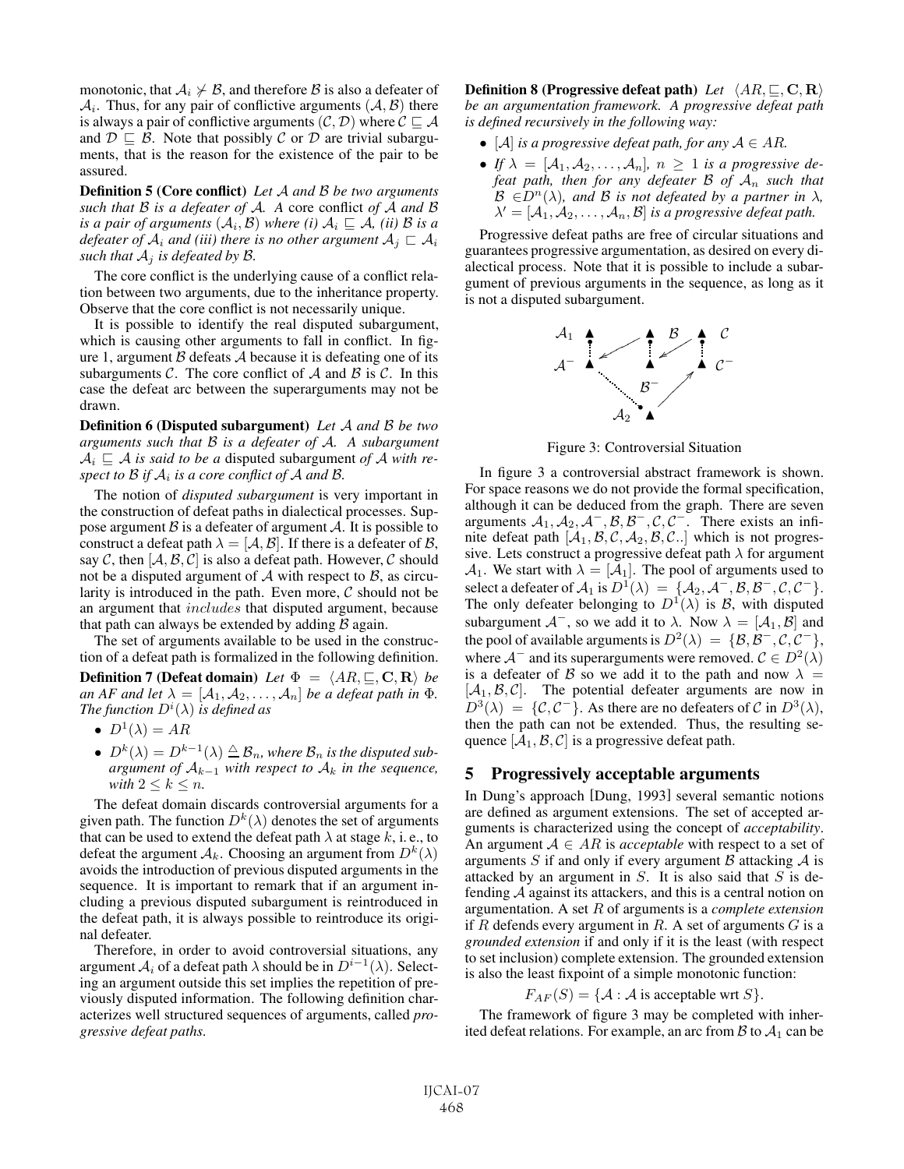monotonic, that  $A_i \not\vdash B$ , and therefore B is also a defeater of  $A_i$ . Thus, for any pair of conflictive arguments  $(A, B)$  there is always a pair of conflictive arguments  $(C, D)$  where  $C \sqsubseteq A$ and  $\mathcal{D} \sqsubseteq \mathcal{B}$ . Note that possibly C or D are trivial subarguments, that is the reason for the existence of the pair to be assured.

Definition 5 (Core conflict) *Let* A *and* B *be two arguments such that* B *is a defeater of* A*. A* core conflict *of* A *and* B *is a pair of arguments*  $(A_i, B)$  *where (i)*  $A_i \subseteq A$ *, (ii)* B *is a* defeater of  $\mathcal{A}_i$  and (iii) there is no other argument  $\mathcal{A}_j \sqsubset \mathcal{A}_i$ *such that*  $A_i$  *is defeated by B.* 

The core conflict is the underlying cause of a conflict relation between two arguments, due to the inheritance property. Observe that the core conflict is not necessarily unique.

It is possible to identify the real disputed subargument, which is causing other arguments to fall in conflict. In figure 1, argument  $\beta$  defeats  $\lambda$  because it is defeating one of its subarguments  $C$ . The core conflict of  $A$  and  $B$  is  $C$ . In this case the defeat arc between the superarguments may not be drawn.

Definition 6 (Disputed subargument) *Let* A *and* B *be two arguments such that* B *is a defeater of* A*. A subargument*  $A_i \sqsubseteq A$  *is said to be a* disputed subargument *of* A *with respect to*  $\beta$  *if*  $A_i$  *is a core conflict of*  $A$  *and*  $\beta$ *.* 

The notion of *disputed subargument* is very important in the construction of defeat paths in dialectical processes. Suppose argument  $\beta$  is a defeater of argument  $\beta$ . It is possible to construct a defeat path  $\lambda = [\mathcal{A}, \mathcal{B}]$ . If there is a defeater of  $\mathcal{B}$ , say C, then  $[A, \mathcal{B}, \mathcal{C}]$  is also a defeat path. However, C should not be a disputed argument of  $A$  with respect to  $B$ , as circularity is introduced in the path. Even more,  $C$  should not be an argument that includes that disputed argument, because that path can always be extended by adding  $\beta$  again.

The set of arguments available to be used in the construction of a defeat path is formalized in the following definition. **Definition 7 (Defeat domain)** Let  $\Phi = \langle AR, \sqsubseteq, \mathbf{C}, \mathbf{R} \rangle$  be *an AF and let*  $\lambda = [\mathcal{A}_1, \mathcal{A}_2, \dots, \mathcal{A}_n]$  *be a defeat path in*  $\Phi$ *.* The function  $D^{i}(\lambda)$  is defined as

- $D^1(\lambda) = AR$
- $D^k(\lambda) = D^{k-1}(\lambda) \triangleq \mathcal{B}_n$ , where  $\mathcal{B}_n$  is the disputed sub*argument of* Ak−<sup>1</sup> *with respect to* A<sup>k</sup> *in the sequence, with*  $2 \leq k \leq n$ *.*

The defeat domain discards controversial arguments for a given path. The function  $D^k(\lambda)$  denotes the set of arguments that can be used to extend the defeat path  $\lambda$  at stage k, i. e., to defeat the argument  $A_k$ . Choosing an argument from  $D^k(\lambda)$ avoids the introduction of previous disputed arguments in the sequence. It is important to remark that if an argument including a previous disputed subargument is reintroduced in the defeat path, it is always possible to reintroduce its original defeater.

Therefore, in order to avoid controversial situations, any argument  $A_i$  of a defeat path  $\lambda$  should be in  $D^{i-1}(\lambda)$ . Selecting an argument outside this set implies the repetition of previously disputed information. The following definition characterizes well structured sequences of arguments, called *progressive defeat paths*.

**Definition 8 (Progressive defeat path)** Let  $\langle AR, \sqsubseteq, \mathbf{C}, \mathbf{R} \rangle$ *be an argumentation framework. A progressive defeat path is defined recursively in the following way:*

- $[A]$  *is a progressive defeat path, for any*  $A \in AR$ .
- If  $\lambda = [\mathcal{A}_1, \mathcal{A}_2, \dots, \mathcal{A}_n], n \geq 1$  *is a progressive defeat path, then for any defeater* B *of* A<sup>n</sup> *such that*  $\mathcal{B} \in D^{n}(\lambda)$ *, and*  $\mathcal{B}$  *is not defeated by a partner in*  $\lambda$ *,*  $\lambda' = [\mathcal{A}_1, \mathcal{A}_2, \ldots, \mathcal{A}_n, \mathcal{B}]$  *is a progressive defeat path.*

Progressive defeat paths are free of circular situations and guarantees progressive argumentation, as desired on every dialectical process. Note that it is possible to include a subargument of previous arguments in the sequence, as long as it is not a disputed subargument.



Figure 3: Controversial Situation

In figure 3 a controversial abstract framework is shown. For space reasons we do not provide the formal specification, although it can be deduced from the graph. There are seven arguments  $A_1, A_2, A^-, B, B^-, C, C^-$ . There exists an infinite defeat path  $[A_1, B, C, A_2, B, C.]$  which is not progressive. Lets construct a progressive defeat path  $\lambda$  for argument  $\mathcal{A}_1$ . We start with  $\lambda = [\mathcal{A}_1]$ . The pool of arguments used to select a defeater of  $A_1$  is  $D^1(\lambda) = \{A_2, \mathcal{A}^-, \mathcal{B}, \mathcal{B}^-, \mathcal{C}, \mathcal{C}^-\}.$ The only defeater belonging to  $D^1(\lambda)$  is B, with disputed subargument  $A^-$ , so we add it to  $\lambda$ . Now  $\lambda = [\mathcal{A}_1, \mathcal{B}]$  and the pool of available arguments is  $D^2(\lambda) = {\mathcal{B}, \mathcal{B}^-, \mathcal{C}, \mathcal{C}^-}$ , where  $A^-$  and its superarguments were removed.  $C \in D^2(\lambda)$ is a defeater of B so we add it to the path and now  $\lambda =$  $[A_1, B, C]$ . The potential defeater arguments are now in  $D^3(\lambda) = \{ \mathcal{C}, \mathcal{C}^- \}.$  As there are no defeaters of C in  $D^3(\lambda)$ , then the path can not be extended. Thus, the resulting sequence  $[A_1, B, C]$  is a progressive defeat path.

#### 5 Progressively acceptable arguments

In Dung's approach [Dung, 1993] several semantic notions are defined as argument extensions. The set of accepted arguments is characterized using the concept of *acceptability*. An argument  $A \in AR$  is *acceptable* with respect to a set of arguments S if and only if every argument B attacking  $\mathcal A$  is attacked by an argument in  $S$ . It is also said that  $S$  is defending A against its attackers, and this is a central notion on argumentation. A set R of arguments is a *complete extension* if R defends every argument in R. A set of arguments  $G$  is a *grounded extension* if and only if it is the least (with respect to set inclusion) complete extension. The grounded extension is also the least fixpoint of a simple monotonic function:

 $F_{AF}(S) = \{A : A \text{ is acceptable wrt } S\}.$ 

The framework of figure 3 may be completed with inherited defeat relations. For example, an arc from  $B$  to  $A_1$  can be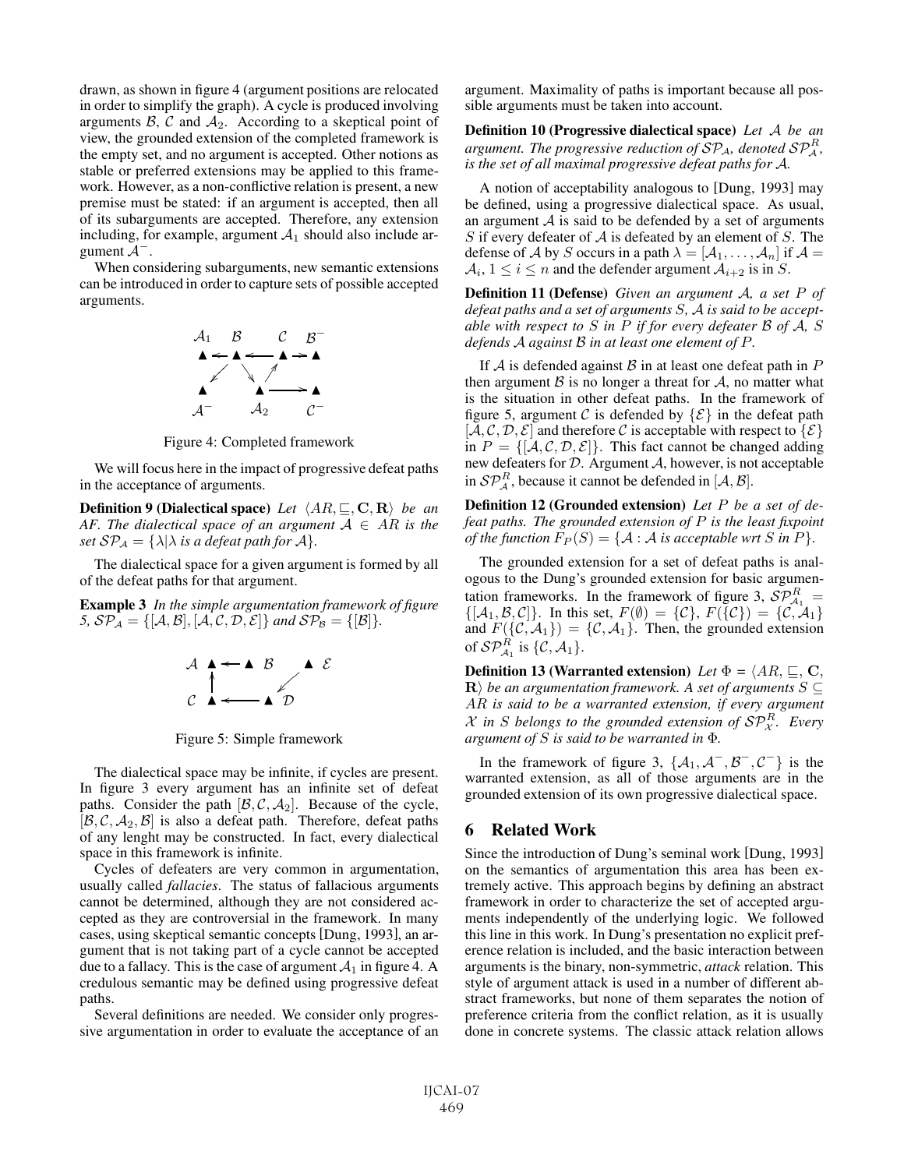drawn, as shown in figure 4 (argument positions are relocated in order to simplify the graph). A cycle is produced involving arguments  $\beta$ ,  $\beta$  and  $\mathcal{A}_2$ . According to a skeptical point of view, the grounded extension of the completed framework is the empty set, and no argument is accepted. Other notions as stable or preferred extensions may be applied to this framework. However, as a non-conflictive relation is present, a new premise must be stated: if an argument is accepted, then all of its subarguments are accepted. Therefore, any extension including, for example, argument  $A_1$  should also include argument  $A^-$ .

When considering subarguments, new semantic extensions can be introduced in order to capture sets of possible accepted arguments.



Figure 4: Completed framework

We will focus here in the impact of progressive defeat paths in the acceptance of arguments.

**Definition 9 (Dialectical space)** Let  $\langle AR, \sqsubseteq, \mathbf{C}, \mathbf{R} \rangle$  be an *AF. The dialectical space of an argument*  $A \in AR$  *is the set*  $\mathcal{SP}_A = \{ \lambda | \lambda \text{ is a defeat path for } A \}.$ 

The dialectical space for a given argument is formed by all of the defeat paths for that argument.

Example 3 *In the simple argumentation framework of figure 5,*  $\mathcal{SP}_{\mathcal{A}} = \{[\mathcal{A}, \mathcal{B}], [\mathcal{A}, \mathcal{C}, \mathcal{D}, \mathcal{E}]\}$  *and*  $\mathcal{SP}_{\mathcal{B}} = \{[\mathcal{B}]\}.$ 



Figure 5: Simple framework

The dialectical space may be infinite, if cycles are present. In figure 3 every argument has an infinite set of defeat paths. Consider the path  $[\mathcal{B}, \mathcal{C}, \mathcal{A}_2]$ . Because of the cycle,  $[\mathcal{B}, \mathcal{C}, \mathcal{A}_2, \mathcal{B}]$  is also a defeat path. Therefore, defeat paths of any lenght may be constructed. In fact, every dialectical space in this framework is infinite.

Cycles of defeaters are very common in argumentation, usually called *fallacies*. The status of fallacious arguments cannot be determined, although they are not considered accepted as they are controversial in the framework. In many cases, using skeptical semantic concepts [Dung, 1993], an argument that is not taking part of a cycle cannot be accepted due to a fallacy. This is the case of argument  $A_1$  in figure 4. A credulous semantic may be defined using progressive defeat paths.

Several definitions are needed. We consider only progressive argumentation in order to evaluate the acceptance of an argument. Maximality of paths is important because all possible arguments must be taken into account.

Definition 10 (Progressive dialectical space) *Let* A *be an* argument. The progressive reduction of  $\mathcal{SP}_{\mathcal{A}},$  denoted  $\mathcal{SP}_{\mathcal{A}}^R,$ *is the set of all maximal progressive defeat paths for* A*.*

A notion of acceptability analogous to [Dung, 1993] may be defined, using a progressive dialectical space. As usual, an argument  $\mathcal A$  is said to be defended by a set of arguments S if every defeater of  $A$  is defeated by an element of S. The defense of A by S occurs in a path  $\lambda = [A_1, \ldots, A_n]$  if  $\mathcal{A} =$  $A_i$ ,  $1 \le i \le n$  and the defender argument  $A_{i+2}$  is in S.

Definition 11 (Defense) *Given an argument* A*, a set* P *of defeat paths and a set of arguments* S*,* A *is said to be acceptable with respect to* S *in* P *if for every defeater* B *of* A*,* S *defends* A *against* B *in at least one element of* P*.*

If  $A$  is defended against  $B$  in at least one defeat path in  $P$ then argument  $\beta$  is no longer a threat for  $\mathcal{A}$ , no matter what is the situation in other defeat paths. In the framework of figure 5, argument C is defended by  $\{\mathcal{E}\}\$ in the defeat path  $[\mathcal{A}, \mathcal{C}, \mathcal{D}, \mathcal{E}]$  and therefore C is acceptable with respect to  $\{\mathcal{E}\}\$ in  $P = \{[A, C, D, E]\}.$  This fact cannot be changed adding new defeaters for  $D$ . Argument  $A$ , however, is not acceptable in  $\mathcal{SP}_{\mathcal{A}}^R$ , because it cannot be defended in  $[\mathcal{A}, \mathcal{B}]$ .

Definition 12 (Grounded extension) *Let* P *be a set of defeat paths. The grounded extension of* P *is the least fixpoint of the function*  $F_P(S) = \{A : A \text{ is acceptable wrt } S \text{ in } P\}.$ 

The grounded extension for a set of defeat paths is analogous to the Dung's grounded extension for basic argumentation frameworks. In the framework of figure 3,  $\mathcal{SP}_{\mathcal{A}_1}^R$  =  $\{[A_1, \mathcal{B}, \mathcal{C}]\}\$ . In this set,  $F(\emptyset) = \{C\}$ ,  $F(\{C\}) = \{C, A_1\}$ and  $F(\{\mathcal{C},\mathcal{A}_1\}) = \{\mathcal{C},\mathcal{A}_1\}$ . Then, the grounded extension of  $\mathcal{SP}_{\mathcal{A}_1}^R$  is  $\{\mathcal{C},\mathcal{A}_1\}.$ 

**Definition 13 (Warranted extension)** Let  $\Phi = \langle AR, \sqsubseteq, \mathbf{C}, \rangle$ **R**) be an argumentation framework. A set of arguments  $S \subseteq$ AR *is said to be a warranted extension, if every argument*  $X$  in S belongs to the grounded extension of  $\mathcal{SP}_{X}^{R}$ . Every *argument of* S *is said to be warranted in* Φ*.*

In the framework of figure 3,  $\{A_1, A^-, B^-, C^-\}$  is the warranted extension, as all of those arguments are in the grounded extension of its own progressive dialectical space.

#### 6 Related Work

Since the introduction of Dung's seminal work [Dung, 1993] on the semantics of argumentation this area has been extremely active. This approach begins by defining an abstract framework in order to characterize the set of accepted arguments independently of the underlying logic. We followed this line in this work. In Dung's presentation no explicit preference relation is included, and the basic interaction between arguments is the binary, non-symmetric, *attack* relation. This style of argument attack is used in a number of different abstract frameworks, but none of them separates the notion of preference criteria from the conflict relation, as it is usually done in concrete systems. The classic attack relation allows